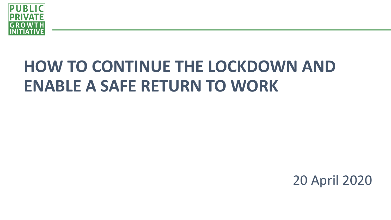

# **HOW TO CONTINUE THE LOCKDOWN AND ENABLE A SAFE RETURN TO WORK**

20 April 2020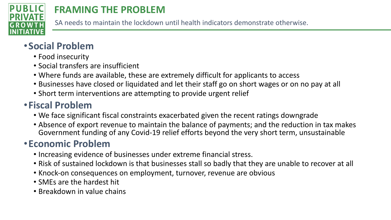

## **FRAMING THE PROBLEM**

SA needs to maintain the lockdown until health indicators demonstrate otherwise.

### •**Social Problem**

- Food insecurity
- Social transfers are insufficient
- Where funds are available, these are extremely difficult for applicants to access
- Businesses have closed or liquidated and let their staff go on short wages or on no pay at all
- Short term interventions are attempting to provide urgent relief

### •**Fiscal Problem**

- We face significant fiscal constraints exacerbated given the recent ratings downgrade
- Absence of export revenue to maintain the balance of payments; and the reduction in tax makes Government funding of any Covid-19 relief efforts beyond the very short term, unsustainable

#### •**Economic Problem**

- Increasing evidence of businesses under extreme financial stress.
- Risk of sustained lockdown is that businesses stall so badly that they are unable to recover at all
- Knock-on consequences on employment, turnover, revenue are obvious
- SMEs are the hardest hit
- Breakdown in value chains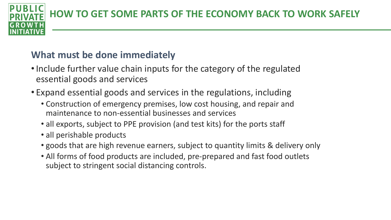**HOW TO GET SOME PARTS OF THE ECONOMY BACK TO WORK SAFELY**

#### **What must be done immediately**

- Include further value chain inputs for the category of the regulated essential goods and services
- Expand essential goods and services in the regulations, including
	- Construction of emergency premises, low cost housing, and repair and maintenance to non-essential businesses and services
	- all exports, subject to PPE provision (and test kits) for the ports staff
	- all perishable products
	- goods that are high revenue earners, subject to quantity limits & delivery only
	- All forms of food products are included, pre-prepared and fast food outlets subject to stringent social distancing controls.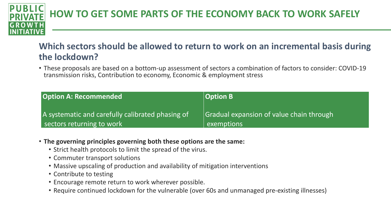#### **Which sectors should be allowed to return to work on an incremental basis during the lockdown?**

• These proposals are based on a bottom-up assessment of sectors a combination of factors to consider: COVID-19 transmission risks, Contribution to economy, Economic & employment stress

- **The governing principles governing both these options are the same:** 
	- Strict health protocols to limit the spread of the virus.
	- Commuter transport solutions
	- Massive upscaling of production and availability of mitigation interventions
	- Contribute to testing
	- Encourage remote return to work wherever possible.
	- Require continued lockdown for the vulnerable (over 60s and unmanaged pre-existing illnesses)

Insion of value chain through

| <b>Option A: Recommended</b>                     | <b>Option B</b> |
|--------------------------------------------------|-----------------|
| A systematic and carefully calibrated phasing of | Gradual expa    |
| sectors returning to work                        | exemptions      |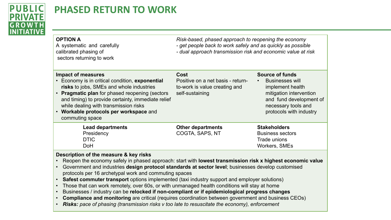

### **PHASED RETURN TO WORK**

*Risk-based, phased approach to reopening the economy - get people back to work safely and as quickly as possible - dual approach transmission risk and economic value at risk*

| <b>OPTION A</b><br>A systematic and carefully<br>calibrated phasing of<br>sectors returning to work                                                                                                                                                                                                                                                  | Risk-based, phased approach to re<br>- get people back to work safely ar<br>- dual approach transmission risk a |
|------------------------------------------------------------------------------------------------------------------------------------------------------------------------------------------------------------------------------------------------------------------------------------------------------------------------------------------------------|-----------------------------------------------------------------------------------------------------------------|
| <b>Impact of measures</b><br>Economy is in critical condition, exponential<br>risks to jobs, SMEs and whole industries<br><b>Pragmatic plan</b> for phased reopening (sectors<br>and timing) to provide certainty, immediate relief<br>while dealing with transmission risks<br>Workable protocols per workspace and<br>$\bullet$<br>commuting space | Cost<br>Positive on a net basis - return-<br>to-work is value creating and<br>self-sustaining                   |
| <b>Lead departments</b><br>Presidency<br><b>DTIC</b><br>DoH                                                                                                                                                                                                                                                                                          | <b>Other departments</b><br>COGTA, SAPS, NT                                                                     |

#### **Source of funds**

• Businesses will implement health mitigation intervention and fund development of necessary tools and protocols with industry

#### **Stakeholders**

Business sectors Trade unions Workers, SMEs

- Reopen the economy safely in phased approach: start with **lowest transmission risk x highest economic value**
- Government and industries **design protocol standards at sector level**; businesses develop customised protocols per 16 archetypal work and commuting spaces
- **Safest commuter transport** options implemented (taxi industry support and employer solutions)
- Those that can work remotely, over 60s, or with unmanaged health conditions will stay at home
- Businesses / industry can be **relocked if non-compliant or if epidemiological progress changes**
- **Compliance and monitoring** are critical (requires coordination between government and business CEOs)
- *Risks: pace of phasing (transmission risks v too late to resuscitate the economy), enforcement*